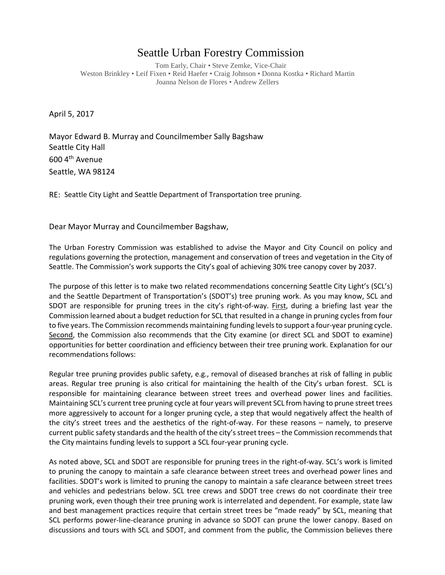## Seattle Urban Forestry Commission

Tom Early, Chair • Steve Zemke, Vice-Chair Weston Brinkley • Leif Fixen • Reid Haefer • Craig Johnson • Donna Kostka • Richard Martin Joanna Nelson de Flores • Andrew Zellers

April 5, 2017

Mayor Edward B. Murray and Councilmember Sally Bagshaw Seattle City Hall 600 4th Avenue Seattle, WA 98124

RE: Seattle City Light and Seattle Department of Transportation tree pruning.

Dear Mayor Murray and Councilmember Bagshaw,

The Urban Forestry Commission was established to advise the Mayor and City Council on policy and regulations governing the protection, management and conservation of trees and vegetation in the City of Seattle. The Commission's work supports the City's goal of achieving 30% tree canopy cover by 2037.

The purpose of this letter is to make two related recommendations concerning Seattle City Light's (SCL's) and the Seattle Department of Transportation's (SDOT's) tree pruning work. As you may know, SCL and SDOT are responsible for pruning trees in the city's right-of-way. First, during a briefing last year the Commission learned about a budget reduction for SCL that resulted in a change in pruning cycles from four to five years. The Commission recommends maintaining funding levels to support a four-year pruning cycle. Second, the Commission also recommends that the City examine (or direct SCL and SDOT to examine) opportunities for better coordination and efficiency between their tree pruning work. Explanation for our recommendations follows:

Regular tree pruning provides public safety, e.g., removal of diseased branches at risk of falling in public areas. Regular tree pruning is also critical for maintaining the health of the City's urban forest. SCL is responsible for maintaining clearance between street trees and overhead power lines and facilities. Maintaining SCL's current tree pruning cycle at four years will prevent SCL from having to prune street trees more aggressively to account for a longer pruning cycle, a step that would negatively affect the health of the city's street trees and the aesthetics of the right-of-way. For these reasons – namely, to preserve current public safety standards and the health of the city's street trees – the Commission recommends that the City maintains funding levels to support a SCL four-year pruning cycle.

As noted above, SCL and SDOT are responsible for pruning trees in the right-of-way. SCL's work is limited to pruning the canopy to maintain a safe clearance between street trees and overhead power lines and facilities. SDOT's work is limited to pruning the canopy to maintain a safe clearance between street trees and vehicles and pedestrians below. SCL tree crews and SDOT tree crews do not coordinate their tree pruning work, even though their tree pruning work is interrelated and dependent. For example, state law and best management practices require that certain street trees be "made ready" by SCL, meaning that SCL performs power-line-clearance pruning in advance so SDOT can prune the lower canopy. Based on discussions and tours with SCL and SDOT, and comment from the public, the Commission believes there